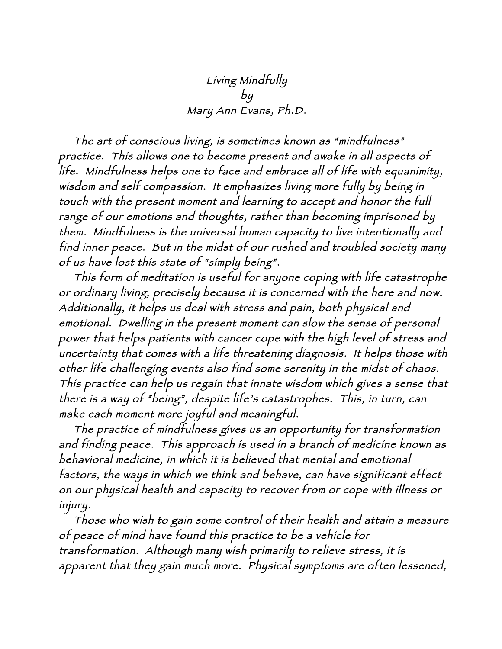## Living Mindfully by Mary Ann Evans, Ph.D.

 The art of conscious living, is sometimes known as "mindfulness" practice. This allows one to become present and awake in all aspects of life. Mindfulness helps one to face and embrace all of life with equanimity, wisdom and self compassion. It emphasizes living more fully by being in touch with the present moment and learning to accept and honor the full range of our emotions and thoughts, rather than becoming imprisoned by them. Mindfulness is the universal human capacity to live intentionally and find inner peace. But in the midst of our rushed and troubled society many of us have lost this state of "simply being".

 This form of meditation is useful for anyone coping with life catastrophe or ordinary living, precisely because it is concerned with the here and now. Additionally, it helps us deal with stress and pain, both physical and emotional. Dwelling in the present moment can slow the sense of personal power that helps patients with cancer cope with the high level of stress and uncertainty that comes with a life threatening diagnosis. It helps those with other life challenging events also find some serenity in the midst of chaos. This practice can help us regain that innate wisdom which gives a sense that there is a way of "being", despite life's catastrophes. This, in turn, can make each moment more joyful and meaningful.

 The practice of mindfulness gives us an opportunity for transformation and finding peace. This approach is used in a branch of medicine known as behavioral medicine, in which it is believed that mental and emotional factors, the ways in which we think and behave, can have significant effect on our physical health and capacity to recover from or cope with illness or injury.

 Those who wish to gain some control of their health and attain a measure of peace of mind have found this practice to be a vehicle for transformation. Although many wish primarily to relieve stress, it is apparent that they gain much more. Physical symptoms are often lessened,